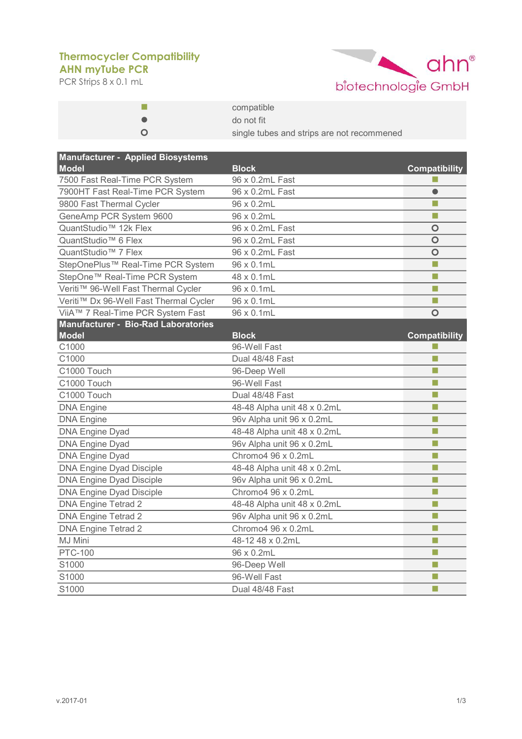## **AHN myTube PCR Thermocycler Compatibility**

PCR Strips 8 x 0.1 mL



| compatible                                 |
|--------------------------------------------|
| do not fit                                 |
| single tubes and strips are not recommened |

| <b>Manufacturer - Applied Biosystems</b>   |                             |                      |
|--------------------------------------------|-----------------------------|----------------------|
| <b>Model</b>                               | <b>Block</b>                | <b>Compatibility</b> |
| 7500 Fast Real-Time PCR System             | 96 x 0.2mL Fast             |                      |
| 7900HT Fast Real-Time PCR System           | 96 x 0.2mL Fast             | $\bullet$            |
| 9800 Fast Thermal Cycler                   | 96 x 0.2mL                  | п                    |
| GeneAmp PCR System 9600                    | 96 x 0.2mL                  | П                    |
| QuantStudio <sup>™</sup> 12k Flex          | 96 x 0.2mL Fast             | $\circ$              |
| QuantStudio <sup>™</sup> 6 Flex            | 96 x 0.2mL Fast             | $\circ$              |
| QuantStudio <sup>™</sup> 7 Flex            | 96 x 0.2mL Fast             | $\circ$              |
| StepOnePlus™ Real-Time PCR System          | 96 x 0.1mL                  | a a                  |
| StepOne™ Real-Time PCR System              | 48 x 0.1mL                  | П                    |
| Veriti™ 96-Well Fast Thermal Cycler        | 96 x 0.1mL                  | П                    |
| Veriti™ Dx 96-Well Fast Thermal Cycler     | 96 x 0.1mL                  | П                    |
| ViiA™ 7 Real-Time PCR System Fast          | 96 x 0.1mL                  | O                    |
| <b>Manufacturer - Bio-Rad Laboratories</b> |                             |                      |
| <b>Model</b>                               | <b>Block</b>                | <b>Compatibility</b> |
| C1000                                      | 96-Well Fast                |                      |
| C1000                                      | Dual 48/48 Fast             | п                    |
| C1000 Touch                                | 96-Deep Well                | m,                   |
| C1000 Touch                                | 96-Well Fast                | П                    |
| C1000 Touch                                | Dual 48/48 Fast             | п                    |
| <b>DNA Engine</b>                          | 48-48 Alpha unit 48 x 0.2mL | m,                   |
| <b>DNA Engine</b>                          | 96v Alpha unit 96 x 0.2mL   | m.                   |
| <b>DNA Engine Dyad</b>                     | 48-48 Alpha unit 48 x 0.2mL | П                    |
| <b>DNA Engine Dyad</b>                     | 96v Alpha unit 96 x 0.2mL   | п                    |
| <b>DNA Engine Dyad</b>                     | Chromo4 96 x 0.2mL          | п                    |
| <b>DNA Engine Dyad Disciple</b>            | 48-48 Alpha unit 48 x 0.2mL | п                    |
| <b>DNA Engine Dyad Disciple</b>            | 96v Alpha unit 96 x 0.2mL   | п                    |
| <b>DNA Engine Dyad Disciple</b>            | Chromo4 96 x 0.2mL          | п                    |
| <b>DNA Engine Tetrad 2</b>                 | 48-48 Alpha unit 48 x 0.2mL | П                    |
| <b>DNA Engine Tetrad 2</b>                 | 96v Alpha unit 96 x 0.2mL   | П                    |
| <b>DNA Engine Tetrad 2</b>                 | Chromo4 96 x 0.2mL          | п                    |
| MJ Mini                                    | 48-12 48 x 0.2mL            | П                    |
| <b>PTC-100</b>                             | 96 x 0.2mL                  | П                    |
| S1000                                      | 96-Deep Well                | П                    |
| S1000                                      | 96-Well Fast                | П                    |
| S1000                                      | Dual 48/48 Fast             | п                    |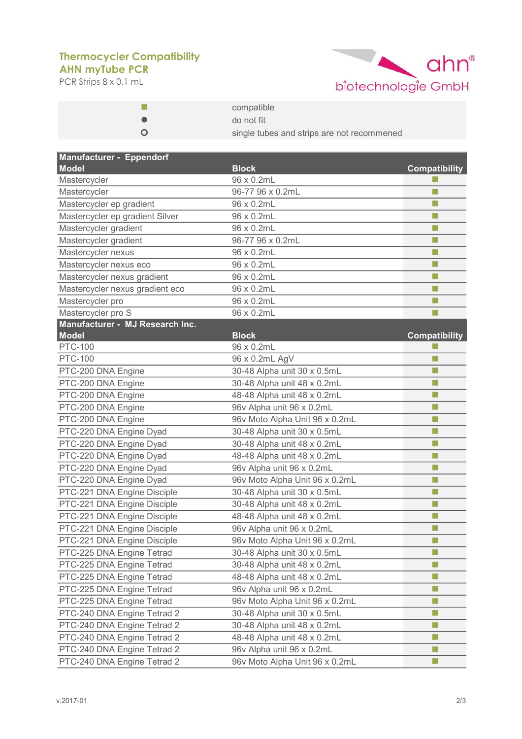## **AHN myTube PCR Thermocycler Compatibility**

PCR Strips 8 x 0.1 mL



| compatible                                 |
|--------------------------------------------|
| do not fit                                 |
| single tubes and strips are not recommened |

| Manufacturer - Eppendorf         |                                |                            |
|----------------------------------|--------------------------------|----------------------------|
| <b>Model</b>                     | <b>Block</b><br>96 x 0.2mL     | <b>Compatibility</b><br>H. |
| Mastercycler                     |                                | П                          |
| Mastercycler                     | 96-77 96 x 0.2mL               | П                          |
| Mastercycler ep gradient         | 96 x 0.2mL                     |                            |
| Mastercycler ep gradient Silver  | 96 x 0.2mL                     | П                          |
| Mastercycler gradient            | 96 x 0.2mL                     | П                          |
| Mastercycler gradient            | 96-77 96 x 0.2mL               | П                          |
| Mastercycler nexus               | 96 x 0.2mL                     | H                          |
| Mastercycler nexus eco           | 96 x 0.2mL                     | П                          |
| Mastercycler nexus gradient      | 96 x 0.2mL                     | m.                         |
| Mastercycler nexus gradient eco  | 96 x 0.2mL                     | H                          |
| Mastercycler pro                 | 96 x 0.2mL                     | п                          |
| Mastercycler pro S               | 96 x 0.2mL                     | m.                         |
| Manufacturer - MJ Research Inc.  |                                |                            |
| <b>Model</b>                     | <b>Block</b><br>96 x 0.2mL     | <b>Compatibility</b>       |
| <b>PTC-100</b><br><b>PTC-100</b> |                                | П                          |
|                                  | 96 x 0.2mL AgV                 | m.                         |
| PTC-200 DNA Engine               | 30-48 Alpha unit 30 x 0.5mL    |                            |
| PTC-200 DNA Engine               | 30-48 Alpha unit 48 x 0.2mL    | П                          |
| PTC-200 DNA Engine               | 48-48 Alpha unit 48 x 0.2mL    | $\Box$                     |
| PTC-200 DNA Engine               | 96v Alpha unit 96 x 0.2mL      | П                          |
| PTC-200 DNA Engine               | 96v Moto Alpha Unit 96 x 0.2mL | П                          |
| PTC-220 DNA Engine Dyad          | 30-48 Alpha unit 30 x 0.5mL    | П                          |
| PTC-220 DNA Engine Dyad          | 30-48 Alpha unit 48 x 0.2mL    | П                          |
| PTC-220 DNA Engine Dyad          | 48-48 Alpha unit 48 x 0.2mL    | П                          |
| PTC-220 DNA Engine Dyad          | 96v Alpha unit 96 x 0.2mL      | П                          |
| PTC-220 DNA Engine Dyad          | 96v Moto Alpha Unit 96 x 0.2mL | П                          |
| PTC-221 DNA Engine Disciple      | 30-48 Alpha unit 30 x 0.5mL    | П                          |
| PTC-221 DNA Engine Disciple      | 30-48 Alpha unit 48 x 0.2mL    | П                          |
| PTC-221 DNA Engine Disciple      | 48-48 Alpha unit 48 x 0.2mL    | П                          |
| PTC-221 DNA Engine Disciple      | 96v Alpha unit 96 x 0.2mL      | П                          |
| PTC-221 DNA Engine Disciple      | 96v Moto Alpha Unit 96 x 0.2mL | П                          |
| PTC-225 DNA Engine Tetrad        | 30-48 Alpha unit 30 x 0.5mL    | H                          |
| PTC-225 DNA Engine Tetrad        | 30-48 Alpha unit 48 x 0.2mL    | П                          |
| PTC-225 DNA Engine Tetrad        | 48-48 Alpha unit 48 x 0.2mL    | П                          |
| PTC-225 DNA Engine Tetrad        | 96v Alpha unit 96 x 0.2mL      | L.                         |
| PTC-225 DNA Engine Tetrad        | 96v Moto Alpha Unit 96 x 0.2mL | П                          |
| PTC-240 DNA Engine Tetrad 2      | 30-48 Alpha unit 30 x 0.5mL    | П                          |
| PTC-240 DNA Engine Tetrad 2      | 30-48 Alpha unit 48 x 0.2mL    | u                          |
| PTC-240 DNA Engine Tetrad 2      | 48-48 Alpha unit 48 x 0.2mL    | $\Box$                     |
| PTC-240 DNA Engine Tetrad 2      | 96v Alpha unit 96 x 0.2mL      | n.                         |
| PTC-240 DNA Engine Tetrad 2      | 96v Moto Alpha Unit 96 x 0.2mL | H                          |